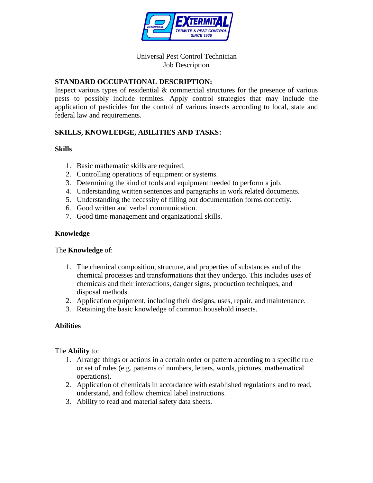

## Universal Pest Control Technician Job Description

## **STANDARD OCCUPATIONAL DESCRIPTION:**

Inspect various types of residential & commercial structures for the presence of various pests to possibly include termites. Apply control strategies that may include the application of pesticides for the control of various insects according to local, state and federal law and requirements.

# **SKILLS, KNOWLEDGE, ABILITIES AND TASKS:**

## **Skills**

- 1. Basic mathematic skills are required.
- 2. Controlling operations of equipment or systems.
- 3. Determining the kind of tools and equipment needed to perform a job.
- 4. Understanding written sentences and paragraphs in work related documents.
- 5. Understanding the necessity of filling out documentation forms correctly.
- 6. Good written and verbal communication.
- 7. Good time management and organizational skills.

## **Knowledge**

#### The **Knowledge** of:

- 1. The chemical composition, structure, and properties of substances and of the chemical processes and transformations that they undergo. This includes uses of chemicals and their interactions, danger signs, production techniques, and disposal methods.
- 2. Application equipment, including their designs, uses, repair, and maintenance.
- 3. Retaining the basic knowledge of common household insects.

## **Abilities**

#### The **Ability** to:

- 1. Arrange things or actions in a certain order or pattern according to a specific rule or set of rules (e.g. patterns of numbers, letters, words, pictures, mathematical operations).
- 2. Application of chemicals in accordance with established regulations and to read, understand, and follow chemical label instructions.
- 3. Ability to read and material safety data sheets.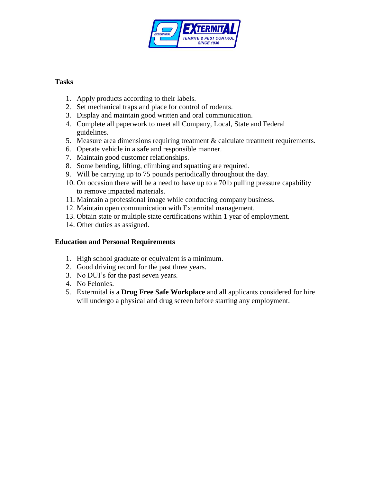

## **Tasks**

- 1. Apply products according to their labels.
- 2. Set mechanical traps and place for control of rodents.
- 3. Display and maintain good written and oral communication.
- 4. Complete all paperwork to meet all Company, Local, State and Federal guidelines.
- 5. Measure area dimensions requiring treatment  $\&$  calculate treatment requirements.
- 6. Operate vehicle in a safe and responsible manner.
- 7. Maintain good customer relationships.
- 8. Some bending, lifting, climbing and squatting are required.
- 9. Will be carrying up to 75 pounds periodically throughout the day.
- 10. On occasion there will be a need to have up to a 70lb pulling pressure capability to remove impacted materials.
- 11. Maintain a professional image while conducting company business.
- 12. Maintain open communication with Extermital management.
- 13. Obtain state or multiple state certifications within 1 year of employment.
- 14. Other duties as assigned.

## **Education and Personal Requirements**

- 1. High school graduate or equivalent is a minimum.
- 2. Good driving record for the past three years.
- 3. No DUI's for the past seven years.
- 4. No Felonies.
- 5. Extermital is a **Drug Free Safe Workplace** and all applicants considered for hire will undergo a physical and drug screen before starting any employment.